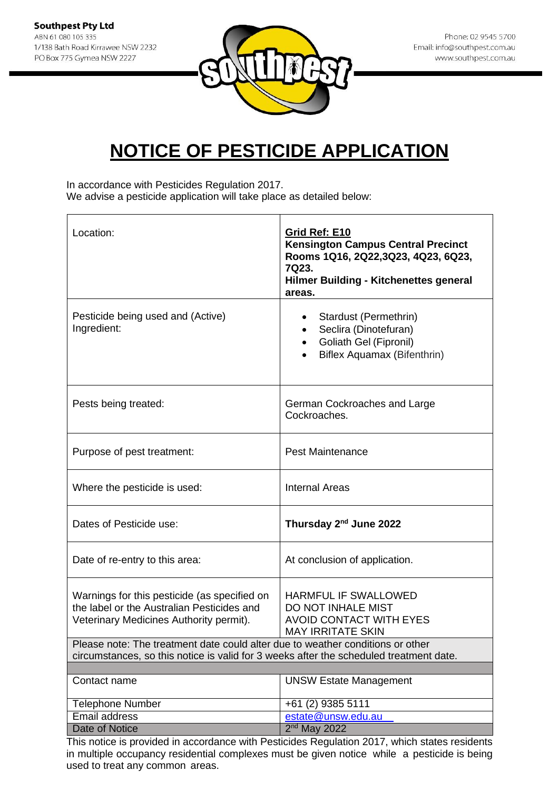

In accordance with Pesticides Regulation 2017. We advise a pesticide application will take place as detailed below:

| Location:                                                                                                                                                                | Grid Ref: E10<br><b>Kensington Campus Central Precinct</b><br>Rooms 1Q16, 2Q22,3Q23, 4Q23, 6Q23,<br>7Q23.<br><b>Hilmer Building - Kitchenettes general</b><br>areas. |
|--------------------------------------------------------------------------------------------------------------------------------------------------------------------------|----------------------------------------------------------------------------------------------------------------------------------------------------------------------|
| Pesticide being used and (Active)<br>Ingredient:                                                                                                                         | Stardust (Permethrin)<br>$\bullet$<br>Seclira (Dinotefuran)<br>Goliath Gel (Fipronil)<br>$\bullet$<br>Biflex Aquamax (Bifenthrin)                                    |
| Pests being treated:                                                                                                                                                     | German Cockroaches and Large<br>Cockroaches.                                                                                                                         |
| Purpose of pest treatment:                                                                                                                                               | <b>Pest Maintenance</b>                                                                                                                                              |
| Where the pesticide is used:                                                                                                                                             | <b>Internal Areas</b>                                                                                                                                                |
| Dates of Pesticide use:                                                                                                                                                  | Thursday 2 <sup>nd</sup> June 2022                                                                                                                                   |
| Date of re-entry to this area:                                                                                                                                           | At conclusion of application.                                                                                                                                        |
| Warnings for this pesticide (as specified on<br>the label or the Australian Pesticides and<br>Veterinary Medicines Authority permit).                                    | <b>HARMFUL IF SWALLOWED</b><br>DO NOT INHALE MIST<br><b>AVOID CONTACT WITH EYES</b><br><b>MAY IRRITATE SKIN</b>                                                      |
| Please note: The treatment date could alter due to weather conditions or other<br>circumstances, so this notice is valid for 3 weeks after the scheduled treatment date. |                                                                                                                                                                      |
| Contact name                                                                                                                                                             | <b>UNSW Estate Management</b>                                                                                                                                        |
|                                                                                                                                                                          |                                                                                                                                                                      |
| <b>Telephone Number</b>                                                                                                                                                  | +61 (2) 9385 5111                                                                                                                                                    |
| Email address                                                                                                                                                            | estate@unsw.edu.au                                                                                                                                                   |
| Date of Notice                                                                                                                                                           | $2nd$ May 2022                                                                                                                                                       |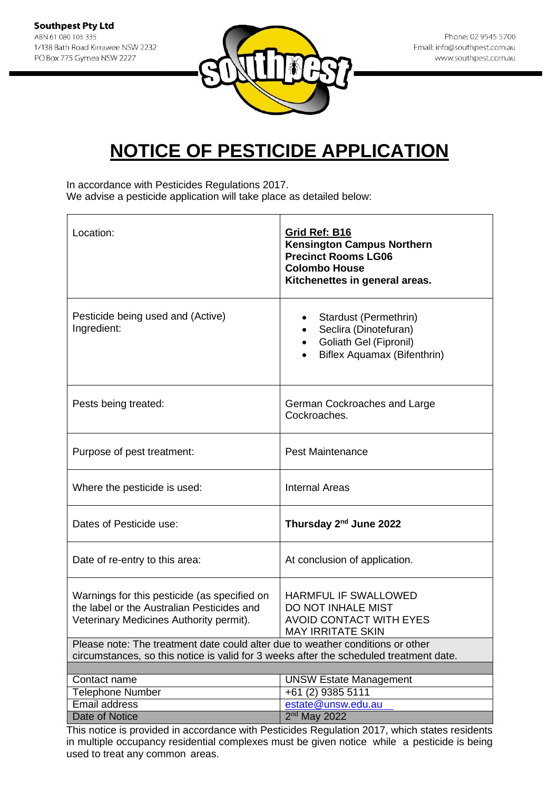

In accordance with Pesticides Regulations 2017. We advise a pesticide application will take place as detailed below:

| Location:                                                                                                                             | Grid Ref: B16<br><b>Kensington Campus Northern</b><br><b>Precinct Rooms LG06</b><br><b>Colombo House</b><br>Kitchenettes in general areas. |  |
|---------------------------------------------------------------------------------------------------------------------------------------|--------------------------------------------------------------------------------------------------------------------------------------------|--|
| Pesticide being used and (Active)<br>Ingredient:                                                                                      | Stardust (Permethrin)<br>Seclira (Dinotefuran)<br>Goliath Gel (Fipronil)<br>$\bullet$<br>Biflex Aquamax (Bifenthrin)                       |  |
| Pests being treated:                                                                                                                  | German Cockroaches and Large<br>Cockroaches.                                                                                               |  |
| Purpose of pest treatment:                                                                                                            | <b>Pest Maintenance</b>                                                                                                                    |  |
| Where the pesticide is used:                                                                                                          | <b>Internal Areas</b>                                                                                                                      |  |
| Dates of Pesticide use:                                                                                                               | Thursday 2 <sup>nd</sup> June 2022                                                                                                         |  |
| Date of re-entry to this area:                                                                                                        | At conclusion of application.                                                                                                              |  |
| Warnings for this pesticide (as specified on<br>the label or the Australian Pesticides and<br>Veterinary Medicines Authority permit). | <b>HARMFUL IF SWALLOWED</b><br>DO NOT INHALE MIST<br><b>AVOID CONTACT WITH EYES</b><br><b>MAY IRRITATE SKIN</b>                            |  |
| Please note: The treatment date could alter due to weather conditions or other                                                        |                                                                                                                                            |  |
| circumstances, so this notice is valid for 3 weeks after the scheduled treatment date.                                                |                                                                                                                                            |  |
| Contact name                                                                                                                          | <b>UNSW Estate Management</b>                                                                                                              |  |
| <b>Telephone Number</b>                                                                                                               | +61 (2) 9385 5111                                                                                                                          |  |
| Email address                                                                                                                         | estate@unsw.edu.au                                                                                                                         |  |
| <b>Date of Notice</b>                                                                                                                 | 2 <sup>nd</sup> May 2022                                                                                                                   |  |
|                                                                                                                                       | This notice is provided in accordance with Pesticides Pequilation 2017, which states residents                                             |  |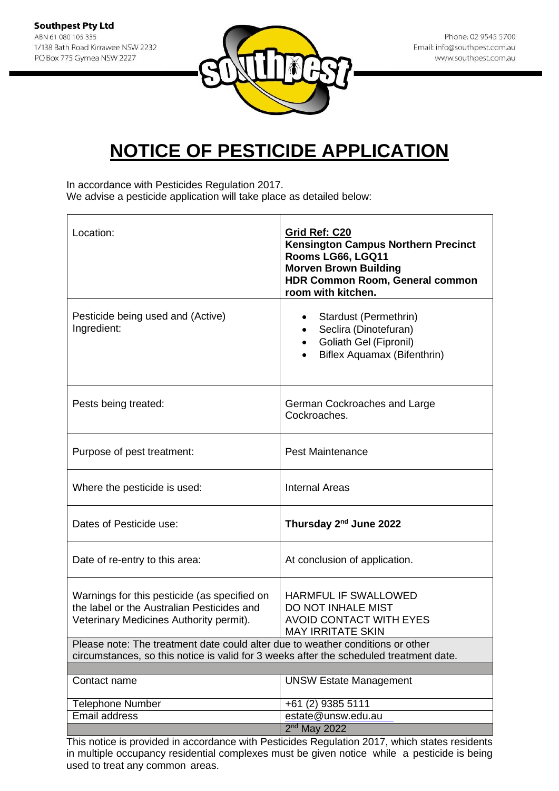

In accordance with Pesticides Regulation 2017. We advise a pesticide application will take place as detailed below:

| Location:                                                                                                                                                                | Grid Ref: C20<br><b>Kensington Campus Northern Precinct</b><br>Rooms LG66, LGQ11<br><b>Morven Brown Building</b><br><b>HDR Common Room, General common</b><br>room with kitchen. |
|--------------------------------------------------------------------------------------------------------------------------------------------------------------------------|----------------------------------------------------------------------------------------------------------------------------------------------------------------------------------|
| Pesticide being used and (Active)<br>Ingredient:                                                                                                                         | Stardust (Permethrin)<br>٠<br>Seclira (Dinotefuran)<br>$\bullet$<br>Goliath Gel (Fipronil)<br>$\bullet$<br>Biflex Aquamax (Bifenthrin)                                           |
| Pests being treated:                                                                                                                                                     | German Cockroaches and Large<br>Cockroaches.                                                                                                                                     |
| Purpose of pest treatment:                                                                                                                                               | <b>Pest Maintenance</b>                                                                                                                                                          |
| Where the pesticide is used:                                                                                                                                             | <b>Internal Areas</b>                                                                                                                                                            |
| Dates of Pesticide use:                                                                                                                                                  | Thursday 2 <sup>nd</sup> June 2022                                                                                                                                               |
| Date of re-entry to this area:                                                                                                                                           | At conclusion of application.                                                                                                                                                    |
| Warnings for this pesticide (as specified on<br>the label or the Australian Pesticides and<br>Veterinary Medicines Authority permit).                                    | <b>HARMFUL IF SWALLOWED</b><br>DO NOT INHALE MIST<br><b>AVOID CONTACT WITH EYES</b><br><b>MAY IRRITATE SKIN</b>                                                                  |
| Please note: The treatment date could alter due to weather conditions or other<br>circumstances, so this notice is valid for 3 weeks after the scheduled treatment date. |                                                                                                                                                                                  |
|                                                                                                                                                                          |                                                                                                                                                                                  |
| Contact name                                                                                                                                                             | <b>UNSW Estate Management</b>                                                                                                                                                    |
| <b>Telephone Number</b>                                                                                                                                                  | +61 (2) 9385 5111                                                                                                                                                                |
| Email address                                                                                                                                                            | estate@unsw.edu.au                                                                                                                                                               |
|                                                                                                                                                                          | $2nd$ May 2022                                                                                                                                                                   |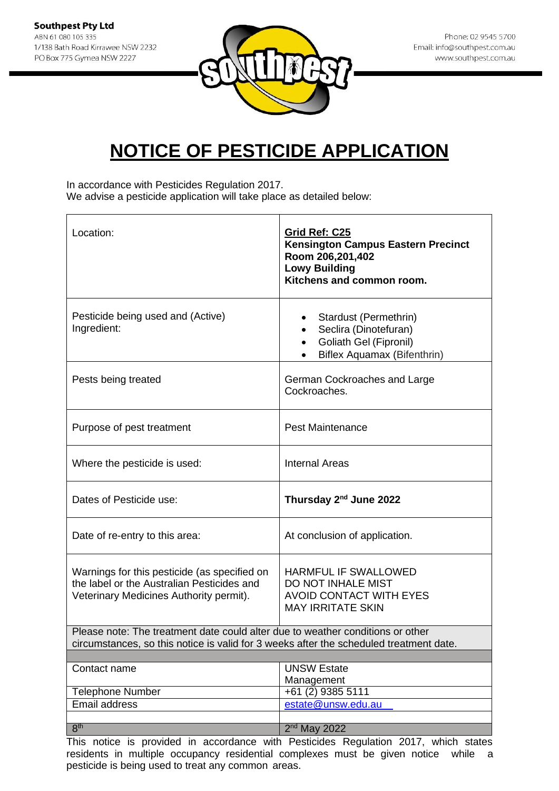

In accordance with Pesticides Regulation 2017. We advise a pesticide application will take place as detailed below:

| Location:                                                                                                                                                                | Grid Ref: C25<br><b>Kensington Campus Eastern Precinct</b><br>Room 206,201,402<br><b>Lowy Building</b><br>Kitchens and common room. |  |
|--------------------------------------------------------------------------------------------------------------------------------------------------------------------------|-------------------------------------------------------------------------------------------------------------------------------------|--|
| Pesticide being used and (Active)<br>Ingredient:                                                                                                                         | Stardust (Permethrin)<br>Seclira (Dinotefuran)<br><b>Goliath Gel (Fipronil)</b><br>Biflex Aquamax (Bifenthrin)                      |  |
| Pests being treated                                                                                                                                                      | German Cockroaches and Large<br>Cockroaches.                                                                                        |  |
| Purpose of pest treatment                                                                                                                                                | <b>Pest Maintenance</b>                                                                                                             |  |
| Where the pesticide is used:                                                                                                                                             | <b>Internal Areas</b>                                                                                                               |  |
| Dates of Pesticide use:                                                                                                                                                  | Thursday 2 <sup>nd</sup> June 2022                                                                                                  |  |
| Date of re-entry to this area:                                                                                                                                           | At conclusion of application.                                                                                                       |  |
| Warnings for this pesticide (as specified on<br>the label or the Australian Pesticides and<br>Veterinary Medicines Authority permit).                                    | HARMFUL IF SWALLOWED<br>DO NOT INHALE MIST<br><b>AVOID CONTACT WITH EYES</b><br><b>MAY IRRITATE SKIN</b>                            |  |
| Please note: The treatment date could alter due to weather conditions or other<br>circumstances, so this notice is valid for 3 weeks after the scheduled treatment date. |                                                                                                                                     |  |
|                                                                                                                                                                          |                                                                                                                                     |  |
| Contact name                                                                                                                                                             | <b>UNSW Estate</b><br>Management                                                                                                    |  |
| <b>Telephone Number</b>                                                                                                                                                  | $+61(2)$ 9385 5111                                                                                                                  |  |
| <b>Email address</b>                                                                                                                                                     | estate@unsw.edu.au                                                                                                                  |  |
| 8 <sup>th</sup>                                                                                                                                                          | 2 <sup>nd</sup> May 2022                                                                                                            |  |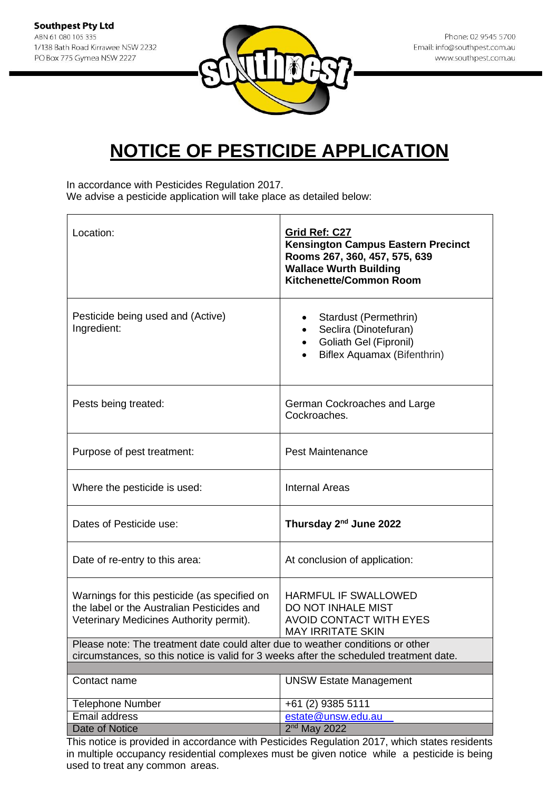

In accordance with Pesticides Regulation 2017. We advise a pesticide application will take place as detailed below:

| Location:                                                                                                                                                                | Grid Ref: C27<br><b>Kensington Campus Eastern Precinct</b><br>Rooms 267, 360, 457, 575, 639<br><b>Wallace Wurth Building</b><br><b>Kitchenette/Common Room</b> |  |
|--------------------------------------------------------------------------------------------------------------------------------------------------------------------------|----------------------------------------------------------------------------------------------------------------------------------------------------------------|--|
| Pesticide being used and (Active)<br>Ingredient:                                                                                                                         | Stardust (Permethrin)<br>Seclira (Dinotefuran)<br><b>Goliath Gel (Fipronil)</b><br>Biflex Aquamax (Bifenthrin)                                                 |  |
| Pests being treated:                                                                                                                                                     | German Cockroaches and Large<br>Cockroaches.                                                                                                                   |  |
| Purpose of pest treatment:                                                                                                                                               | <b>Pest Maintenance</b>                                                                                                                                        |  |
| Where the pesticide is used:                                                                                                                                             | <b>Internal Areas</b>                                                                                                                                          |  |
| Dates of Pesticide use:                                                                                                                                                  | Thursday 2 <sup>nd</sup> June 2022                                                                                                                             |  |
| Date of re-entry to this area:                                                                                                                                           | At conclusion of application:                                                                                                                                  |  |
| Warnings for this pesticide (as specified on<br>the label or the Australian Pesticides and<br>Veterinary Medicines Authority permit).                                    | <b>HARMFUL IF SWALLOWED</b><br>DO NOT INHALE MIST<br><b>AVOID CONTACT WITH EYES</b><br><b>MAY IRRITATE SKIN</b>                                                |  |
| Please note: The treatment date could alter due to weather conditions or other<br>circumstances, so this notice is valid for 3 weeks after the scheduled treatment date. |                                                                                                                                                                |  |
|                                                                                                                                                                          |                                                                                                                                                                |  |
| Contact name                                                                                                                                                             | <b>UNSW Estate Management</b>                                                                                                                                  |  |
| <b>Telephone Number</b>                                                                                                                                                  | +61 (2) 9385 5111                                                                                                                                              |  |
| Email address                                                                                                                                                            | estate@unsw.edu.au                                                                                                                                             |  |
| Date of Notice                                                                                                                                                           | $2nd$ May 2022                                                                                                                                                 |  |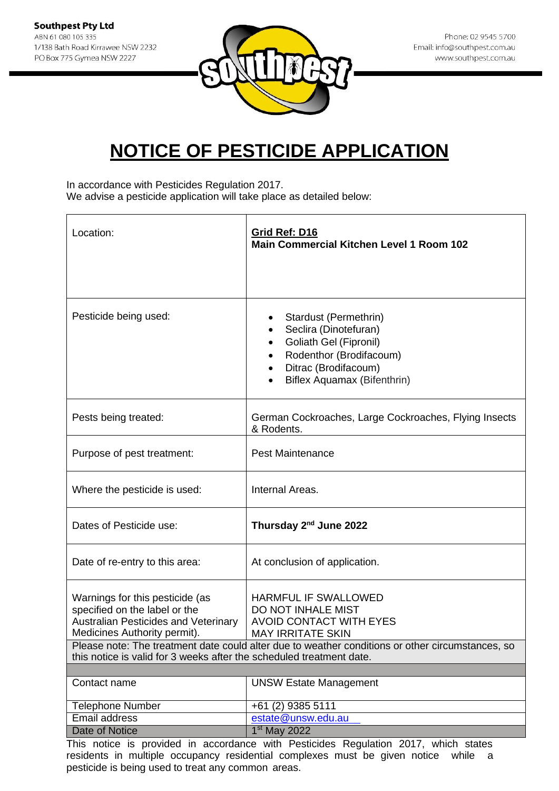

In accordance with Pesticides Regulation 2017.

We advise a pesticide application will take place as detailed below:

| Location:                                                                                                                                                                                                        | Grid Ref: D16<br><b>Main Commercial Kitchen Level 1 Room 102</b>                                                                                                                                             |
|------------------------------------------------------------------------------------------------------------------------------------------------------------------------------------------------------------------|--------------------------------------------------------------------------------------------------------------------------------------------------------------------------------------------------------------|
|                                                                                                                                                                                                                  |                                                                                                                                                                                                              |
| Pesticide being used:                                                                                                                                                                                            | Stardust (Permethrin)<br>Seclira (Dinotefuran)<br>Goliath Gel (Fipronil)<br>$\bullet$<br>Rodenthor (Brodifacoum)<br>Ditrac (Brodifacoum)<br>Biflex Aquamax (Bifenthrin)                                      |
| Pests being treated:                                                                                                                                                                                             | German Cockroaches, Large Cockroaches, Flying Insects<br>& Rodents.                                                                                                                                          |
| Purpose of pest treatment:                                                                                                                                                                                       | <b>Pest Maintenance</b>                                                                                                                                                                                      |
| Where the pesticide is used:                                                                                                                                                                                     | Internal Areas.                                                                                                                                                                                              |
| Dates of Pesticide use:                                                                                                                                                                                          | Thursday 2 <sup>nd</sup> June 2022                                                                                                                                                                           |
| Date of re-entry to this area:                                                                                                                                                                                   | At conclusion of application.                                                                                                                                                                                |
| Warnings for this pesticide (as<br>specified on the label or the<br>Australian Pesticides and Veterinary<br>Medicines Authority permit).<br>this notice is valid for 3 weeks after the scheduled treatment date. | HARMFUL IF SWALLOWED<br>DO NOT INHALE MIST<br><b>AVOID CONTACT WITH EYES</b><br><b>MAY IRRITATE SKIN</b><br>Please note: The treatment date could alter due to weather conditions or other circumstances, so |
| Contact name                                                                                                                                                                                                     | <b>UNSW Estate Management</b>                                                                                                                                                                                |
|                                                                                                                                                                                                                  |                                                                                                                                                                                                              |
| Telephone Number                                                                                                                                                                                                 | +61 (2) 9385 5111                                                                                                                                                                                            |
| <b>Email address</b><br>Date of Notice                                                                                                                                                                           | estate@unsw.edu.au<br>1 <sup>st</sup> May 2022                                                                                                                                                               |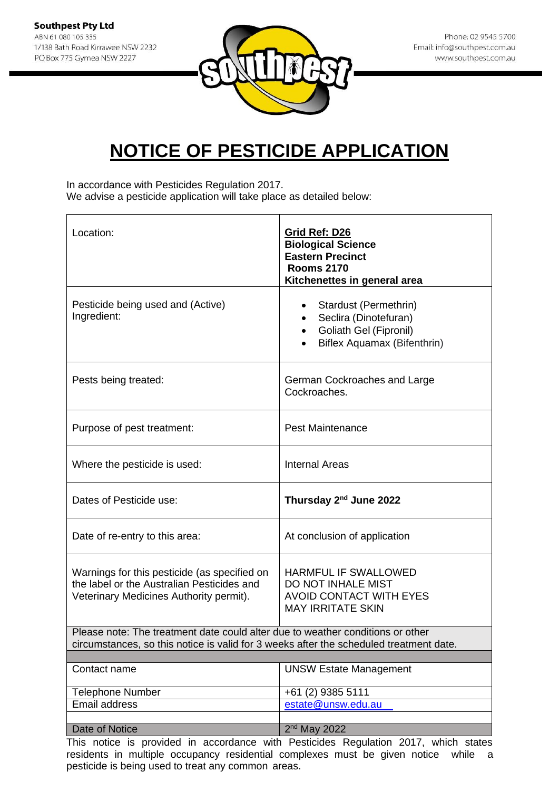

In accordance with Pesticides Regulation 2017. We advise a pesticide application will take place as detailed below:

| Location:                                                                                                                                                                | Grid Ref: D26<br><b>Biological Science</b><br><b>Eastern Precinct</b><br><b>Rooms 2170</b><br>Kitchenettes in general area         |  |
|--------------------------------------------------------------------------------------------------------------------------------------------------------------------------|------------------------------------------------------------------------------------------------------------------------------------|--|
| Pesticide being used and (Active)<br>Ingredient:                                                                                                                         | Stardust (Permethrin)<br>$\bullet$<br>Seclira (Dinotefuran)<br><b>Goliath Gel (Fipronil)</b><br><b>Biflex Aquamax (Bifenthrin)</b> |  |
| Pests being treated:                                                                                                                                                     | German Cockroaches and Large<br>Cockroaches.                                                                                       |  |
| Purpose of pest treatment:                                                                                                                                               | <b>Pest Maintenance</b>                                                                                                            |  |
| Where the pesticide is used:                                                                                                                                             | <b>Internal Areas</b>                                                                                                              |  |
| Dates of Pesticide use:                                                                                                                                                  | Thursday 2 <sup>nd</sup> June 2022                                                                                                 |  |
| Date of re-entry to this area:                                                                                                                                           | At conclusion of application                                                                                                       |  |
| Warnings for this pesticide (as specified on<br>the label or the Australian Pesticides and<br>Veterinary Medicines Authority permit).                                    | HARMFUL IF SWALLOWED<br>DO NOT INHALE MIST<br><b>AVOID CONTACT WITH EYES</b><br><b>MAY IRRITATE SKIN</b>                           |  |
| Please note: The treatment date could alter due to weather conditions or other<br>circumstances, so this notice is valid for 3 weeks after the scheduled treatment date. |                                                                                                                                    |  |
| Contact name                                                                                                                                                             | <b>UNSW Estate Management</b>                                                                                                      |  |
| <b>Telephone Number</b>                                                                                                                                                  | +61 (2) 9385 5111                                                                                                                  |  |
| Email address                                                                                                                                                            | estate@unsw.edu.au                                                                                                                 |  |
| Date of Notice<br>Thie notion<br>in provided in an<br>unit                                                                                                               | $2nd$ May 2022<br>Doctioidee Dequision 2017<br>which                                                                               |  |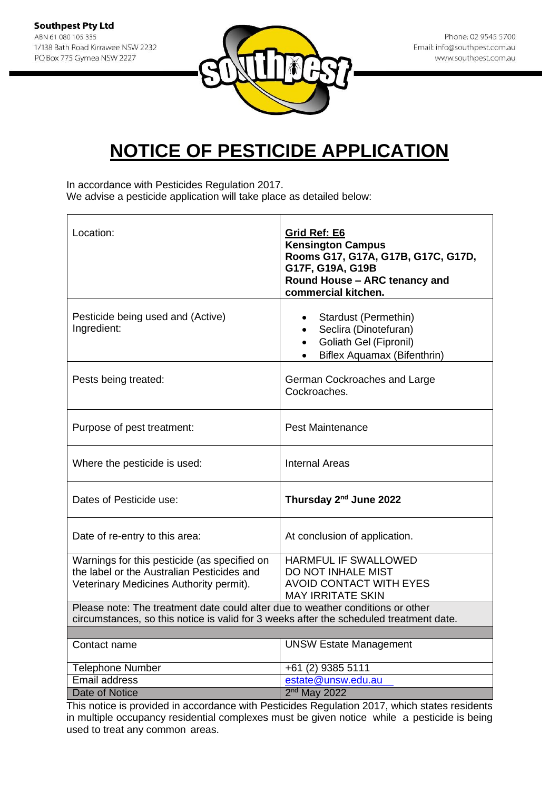

In accordance with Pesticides Regulation 2017. We advise a pesticide application will take place as detailed below:

| Location:                                                                                                                                                                | Grid Ref: E6<br><b>Kensington Campus</b><br>Rooms G17, G17A, G17B, G17C, G17D,<br>G17F, G19A, G19B<br>Round House - ARC tenancy and<br>commercial kitchen. |  |
|--------------------------------------------------------------------------------------------------------------------------------------------------------------------------|------------------------------------------------------------------------------------------------------------------------------------------------------------|--|
| Pesticide being used and (Active)<br>Ingredient:                                                                                                                         | Stardust (Permethin)<br>Seclira (Dinotefuran)<br>$\bullet$<br><b>Goliath Gel (Fipronil)</b><br>$\bullet$<br>Biflex Aquamax (Bifenthrin)<br>$\bullet$       |  |
| Pests being treated:                                                                                                                                                     | German Cockroaches and Large<br>Cockroaches.                                                                                                               |  |
| Purpose of pest treatment:                                                                                                                                               | <b>Pest Maintenance</b>                                                                                                                                    |  |
| Where the pesticide is used:                                                                                                                                             | <b>Internal Areas</b>                                                                                                                                      |  |
| Dates of Pesticide use:                                                                                                                                                  | Thursday 2 <sup>nd</sup> June 2022                                                                                                                         |  |
| Date of re-entry to this area:                                                                                                                                           | At conclusion of application.                                                                                                                              |  |
| Warnings for this pesticide (as specified on<br>the label or the Australian Pesticides and<br>Veterinary Medicines Authority permit).                                    | HARMFUL IF SWALLOWED<br>DO NOT INHALE MIST<br><b>AVOID CONTACT WITH EYES</b><br><b>MAY IRRITATE SKIN</b>                                                   |  |
| Please note: The treatment date could alter due to weather conditions or other<br>circumstances, so this notice is valid for 3 weeks after the scheduled treatment date. |                                                                                                                                                            |  |
|                                                                                                                                                                          |                                                                                                                                                            |  |
| Contact name                                                                                                                                                             | <b>UNSW Estate Management</b>                                                                                                                              |  |
| <b>Telephone Number</b>                                                                                                                                                  | +61 (2) 9385 5111                                                                                                                                          |  |
| Email address                                                                                                                                                            | estate@unsw.edu.au                                                                                                                                         |  |
| Date of Notice                                                                                                                                                           | $2nd$ May 2022                                                                                                                                             |  |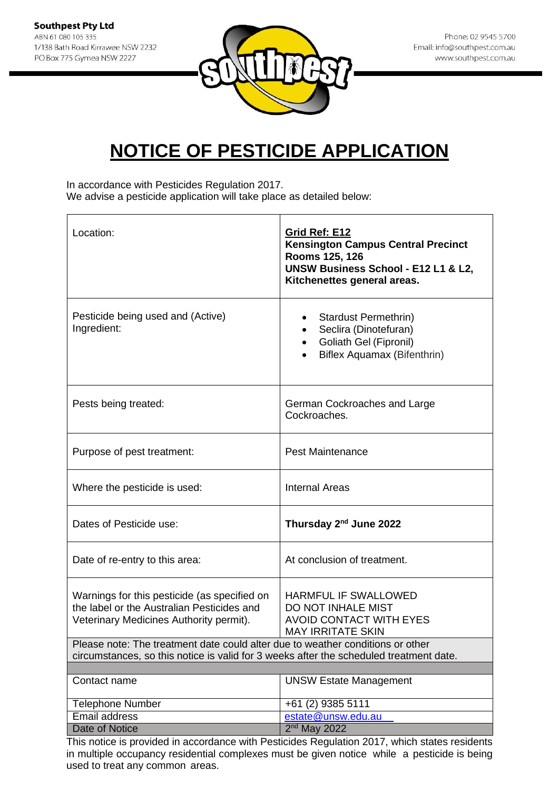

In accordance with Pesticides Regulation 2017. We advise a pesticide application will take place as detailed below:

| Location:                                                                                                                                                                | Grid Ref: E12<br><b>Kensington Campus Central Precinct</b><br>Rooms 125, 126<br>UNSW Business School - E12 L1 & L2,<br>Kitchenettes general areas. |
|--------------------------------------------------------------------------------------------------------------------------------------------------------------------------|----------------------------------------------------------------------------------------------------------------------------------------------------|
| Pesticide being used and (Active)<br>Ingredient:                                                                                                                         | Stardust Permethrin)<br>Seclira (Dinotefuran)<br>Goliath Gel (Fipronil)<br>Biflex Aquamax (Bifenthrin)                                             |
| Pests being treated:                                                                                                                                                     | German Cockroaches and Large<br>Cockroaches.                                                                                                       |
| Purpose of pest treatment:                                                                                                                                               | <b>Pest Maintenance</b>                                                                                                                            |
| Where the pesticide is used:                                                                                                                                             | <b>Internal Areas</b>                                                                                                                              |
| Dates of Pesticide use:                                                                                                                                                  | Thursday 2 <sup>nd</sup> June 2022                                                                                                                 |
| Date of re-entry to this area:                                                                                                                                           | At conclusion of treatment.                                                                                                                        |
| Warnings for this pesticide (as specified on<br>the label or the Australian Pesticides and<br>Veterinary Medicines Authority permit).                                    | <b>HARMFUL IF SWALLOWED</b><br>DO NOT INHALE MIST<br><b>AVOID CONTACT WITH EYES</b><br><b>MAY IRRITATE SKIN</b>                                    |
| Please note: The treatment date could alter due to weather conditions or other<br>circumstances, so this notice is valid for 3 weeks after the scheduled treatment date. |                                                                                                                                                    |
| Contact name                                                                                                                                                             | <b>UNSW Estate Management</b>                                                                                                                      |
|                                                                                                                                                                          |                                                                                                                                                    |
| <b>Telephone Number</b>                                                                                                                                                  | +61 (2) 9385 5111                                                                                                                                  |
| Email address<br>Date of Notice                                                                                                                                          | estate@unsw.edu.au<br>$2nd$ May 2022                                                                                                               |
|                                                                                                                                                                          |                                                                                                                                                    |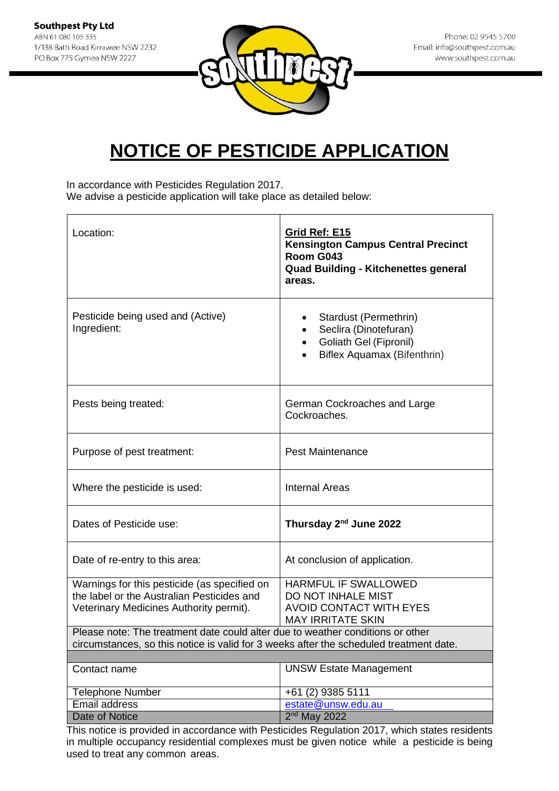

In accordance with Pesticides Regulation 2017. We advise a pesticide application will take place as detailed below:

| Location:                                                                                                                                                                | Grid Ref: E15<br><b>Kensington Campus Central Precinct</b><br>Room G043<br><b>Quad Building - Kitchenettes general</b><br>areas. |
|--------------------------------------------------------------------------------------------------------------------------------------------------------------------------|----------------------------------------------------------------------------------------------------------------------------------|
| Pesticide being used and (Active)<br>Ingredient:                                                                                                                         | Stardust (Permethrin)<br>Seclira (Dinotefuran)<br>Goliath Gel (Fipronil)<br>Biflex Aquamax (Bifenthrin)                          |
| Pests being treated:                                                                                                                                                     | German Cockroaches and Large<br>Cockroaches.                                                                                     |
| Purpose of pest treatment:                                                                                                                                               | <b>Pest Maintenance</b>                                                                                                          |
| Where the pesticide is used:                                                                                                                                             | <b>Internal Areas</b>                                                                                                            |
| Dates of Pesticide use:                                                                                                                                                  | Thursday 2 <sup>nd</sup> June 2022                                                                                               |
| Date of re-entry to this area:                                                                                                                                           | At conclusion of application.                                                                                                    |
| Warnings for this pesticide (as specified on<br>the label or the Australian Pesticides and<br>Veterinary Medicines Authority permit).                                    | HARMFUL IF SWALLOWED<br>DO NOT INHALE MIST<br><b>AVOID CONTACT WITH EYES</b><br><b>MAY IRRITATE SKIN</b>                         |
| Please note: The treatment date could alter due to weather conditions or other<br>circumstances, so this notice is valid for 3 weeks after the scheduled treatment date. |                                                                                                                                  |
|                                                                                                                                                                          |                                                                                                                                  |
| Contact name                                                                                                                                                             | <b>UNSW Estate Management</b>                                                                                                    |
| <b>Telephone Number</b>                                                                                                                                                  | +61 (2) 9385 5111                                                                                                                |
| Email address                                                                                                                                                            | estate@unsw.edu.au                                                                                                               |
| Date of Notice                                                                                                                                                           | $2nd$ May 2022<br>This notice is provided in accordance with Pesticides Pequilation 2017, which states residents                 |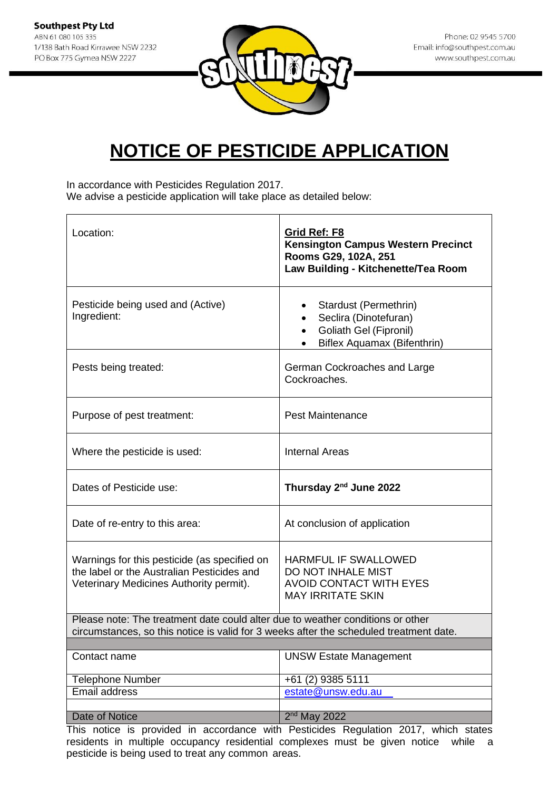

In accordance with Pesticides Regulation 2017. We advise a pesticide application will take place as detailed below:

| Location:                                                                                                                                                                | Grid Ref: F8<br><b>Kensington Campus Western Precinct</b><br>Rooms G29, 102A, 251<br>Law Building - Kitchenette/Tea Room          |
|--------------------------------------------------------------------------------------------------------------------------------------------------------------------------|-----------------------------------------------------------------------------------------------------------------------------------|
| Pesticide being used and (Active)<br>Ingredient:                                                                                                                         | Stardust (Permethrin)<br>Seclira (Dinotefuran)<br>$\bullet$<br>Goliath Gel (Fipronil)<br>$\bullet$<br>Biflex Aquamax (Bifenthrin) |
| Pests being treated:                                                                                                                                                     | German Cockroaches and Large<br>Cockroaches.                                                                                      |
| Purpose of pest treatment:                                                                                                                                               | <b>Pest Maintenance</b>                                                                                                           |
| Where the pesticide is used:                                                                                                                                             | <b>Internal Areas</b>                                                                                                             |
| Dates of Pesticide use:                                                                                                                                                  | Thursday 2 <sup>nd</sup> June 2022                                                                                                |
| Date of re-entry to this area:                                                                                                                                           | At conclusion of application                                                                                                      |
| Warnings for this pesticide (as specified on<br>the label or the Australian Pesticides and<br>Veterinary Medicines Authority permit).                                    | <b>HARMFUL IF SWALLOWED</b><br>DO NOT INHALE MIST<br><b>AVOID CONTACT WITH EYES</b><br><b>MAY IRRITATE SKIN</b>                   |
| Please note: The treatment date could alter due to weather conditions or other<br>circumstances, so this notice is valid for 3 weeks after the scheduled treatment date. |                                                                                                                                   |
|                                                                                                                                                                          |                                                                                                                                   |
| Contact name                                                                                                                                                             | <b>UNSW Estate Management</b>                                                                                                     |
| <b>Telephone Number</b>                                                                                                                                                  | +61 (2) 9385 5111                                                                                                                 |
| Email address                                                                                                                                                            | estate@unsw.edu.au                                                                                                                |
|                                                                                                                                                                          |                                                                                                                                   |
| Date of Notice                                                                                                                                                           | $2nd$ May 2022<br>This notice is provided in accordance with Posticides Pequlation 2017, which states                             |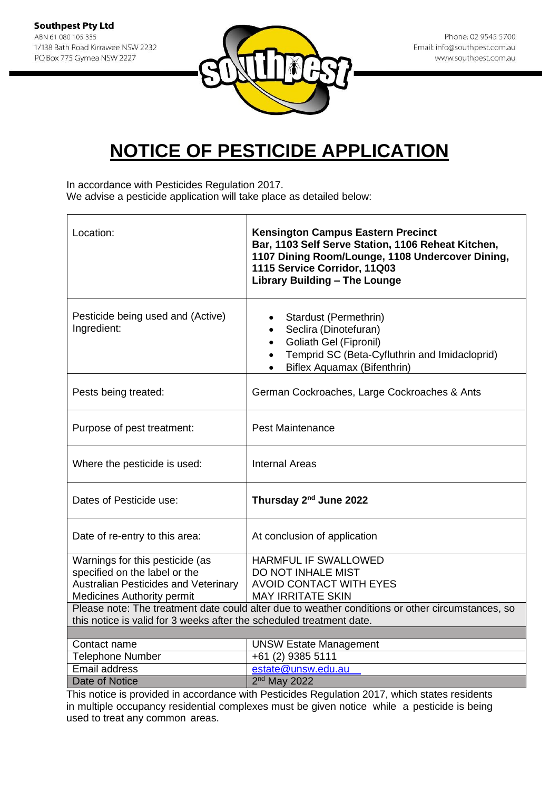**Southpest Pty Ltd** ABN 61 080 105 335 1/138 Bath Road Kirrawee NSW 2232 PO Box 775 Gymea NSW 2227



Phone: 02 9545 5700 Email: info@southpest.com.au www.southpest.com.au

## **NOTICE OF PESTICIDE APPLICATION**

In accordance with Pesticides Regulation 2017.

We advise a pesticide application will take place as detailed below:

| Location:                                                                                                                                                                | <b>Kensington Campus Eastern Precinct</b><br>Bar, 1103 Self Serve Station, 1106 Reheat Kitchen,<br>1107 Dining Room/Lounge, 1108 Undercover Dining,<br>1115 Service Corridor, 11Q03<br><b>Library Building - The Lounge</b> |
|--------------------------------------------------------------------------------------------------------------------------------------------------------------------------|-----------------------------------------------------------------------------------------------------------------------------------------------------------------------------------------------------------------------------|
| Pesticide being used and (Active)<br>Ingredient:                                                                                                                         | Stardust (Permethrin)<br>Seclira (Dinotefuran)<br><b>Goliath Gel (Fipronil)</b><br>$\bullet$<br>Temprid SC (Beta-Cyfluthrin and Imidacloprid)<br>$\bullet$<br><b>Biflex Aquamax (Bifenthrin)</b>                            |
| Pests being treated:                                                                                                                                                     | German Cockroaches, Large Cockroaches & Ants                                                                                                                                                                                |
| Purpose of pest treatment:                                                                                                                                               | <b>Pest Maintenance</b>                                                                                                                                                                                                     |
| Where the pesticide is used:                                                                                                                                             | <b>Internal Areas</b>                                                                                                                                                                                                       |
| Dates of Pesticide use:                                                                                                                                                  | Thursday 2 <sup>nd</sup> June 2022                                                                                                                                                                                          |
| Date of re-entry to this area:                                                                                                                                           | At conclusion of application                                                                                                                                                                                                |
| Warnings for this pesticide (as                                                                                                                                          | HARMFUL IF SWALLOWED                                                                                                                                                                                                        |
| specified on the label or the                                                                                                                                            | DO NOT INHALE MIST                                                                                                                                                                                                          |
| <b>Australian Pesticides and Veterinary</b>                                                                                                                              | <b>AVOID CONTACT WITH EYES</b>                                                                                                                                                                                              |
| <b>Medicines Authority permit</b>                                                                                                                                        | <b>MAY IRRITATE SKIN</b>                                                                                                                                                                                                    |
| Please note: The treatment date could alter due to weather conditions or other circumstances, so<br>this notice is valid for 3 weeks after the scheduled treatment date. |                                                                                                                                                                                                                             |
|                                                                                                                                                                          |                                                                                                                                                                                                                             |
| Contact name                                                                                                                                                             | <b>UNSW Estate Management</b>                                                                                                                                                                                               |
| <b>Telephone Number</b>                                                                                                                                                  | +61 (2) 9385 5111                                                                                                                                                                                                           |
| Email address                                                                                                                                                            | estate@unsw.edu.au                                                                                                                                                                                                          |
| <b>Date of Notice</b>                                                                                                                                                    | 2 <sup>nd</sup> May 2022                                                                                                                                                                                                    |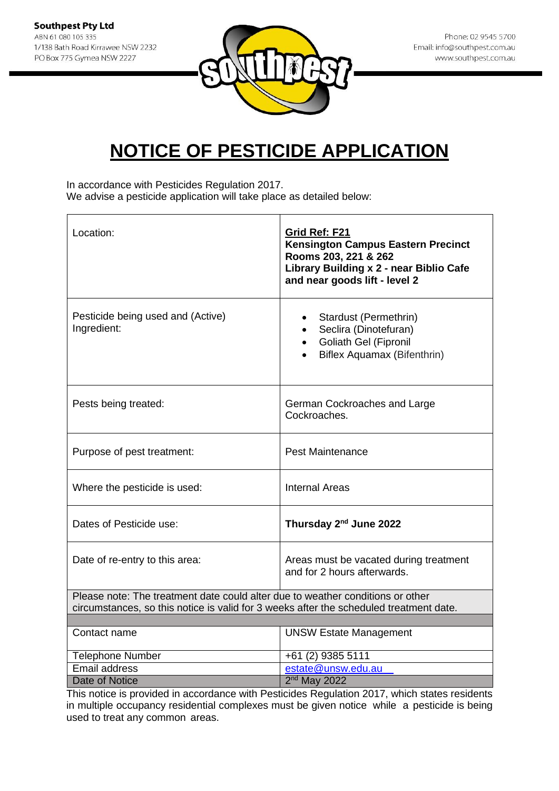

In accordance with Pesticides Regulation 2017. We advise a pesticide application will take place as detailed below:

| Location:                                                                              | Grid Ref: F21<br><b>Kensington Campus Eastern Precinct</b><br>Rooms 203, 221 & 262<br>Library Building x 2 - near Biblio Cafe<br>and near goods lift - level 2 |
|----------------------------------------------------------------------------------------|----------------------------------------------------------------------------------------------------------------------------------------------------------------|
| Pesticide being used and (Active)<br>Ingredient:                                       | Stardust (Permethrin)<br>Seclira (Dinotefuran)<br>• Goliath Gel (Fipronil<br>Biflex Aquamax (Bifenthrin)                                                       |
| Pests being treated:                                                                   | German Cockroaches and Large<br>Cockroaches.                                                                                                                   |
| Purpose of pest treatment:                                                             | <b>Pest Maintenance</b>                                                                                                                                        |
| Where the pesticide is used:                                                           | <b>Internal Areas</b>                                                                                                                                          |
| Dates of Pesticide use:                                                                | Thursday 2 <sup>nd</sup> June 2022                                                                                                                             |
| Date of re-entry to this area:                                                         | Areas must be vacated during treatment<br>and for 2 hours afterwards.                                                                                          |
| Please note: The treatment date could alter due to weather conditions or other         |                                                                                                                                                                |
| circumstances, so this notice is valid for 3 weeks after the scheduled treatment date. |                                                                                                                                                                |
| Contact name                                                                           | <b>UNSW Estate Management</b>                                                                                                                                  |
| <b>Telephone Number</b>                                                                | $+61$ (2) 9385 5111                                                                                                                                            |
| Email address                                                                          | estate@unsw.edu.au                                                                                                                                             |
| <b>Date of Notice</b>                                                                  | 2 <sup>nd</sup> May 2022                                                                                                                                       |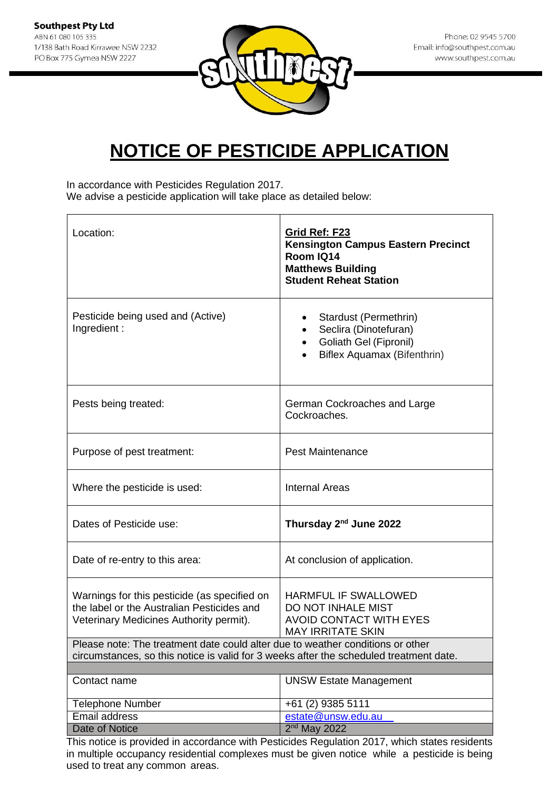

In accordance with Pesticides Regulation 2017. We advise a pesticide application will take place as detailed below:

| Location:                                                                                                                                                                | Grid Ref: F23<br><b>Kensington Campus Eastern Precinct</b><br>Room IQ14<br><b>Matthews Building</b><br><b>Student Reheat Station</b> |
|--------------------------------------------------------------------------------------------------------------------------------------------------------------------------|--------------------------------------------------------------------------------------------------------------------------------------|
| Pesticide being used and (Active)<br>Ingredient:                                                                                                                         | Stardust (Permethrin)<br>Seclira (Dinotefuran)<br>Goliath Gel (Fipronil)<br>Biflex Aquamax (Bifenthrin)                              |
| Pests being treated:                                                                                                                                                     | German Cockroaches and Large<br>Cockroaches.                                                                                         |
| Purpose of pest treatment:                                                                                                                                               | <b>Pest Maintenance</b>                                                                                                              |
| Where the pesticide is used:                                                                                                                                             | <b>Internal Areas</b>                                                                                                                |
| Dates of Pesticide use:                                                                                                                                                  | Thursday 2 <sup>nd</sup> June 2022                                                                                                   |
| Date of re-entry to this area:                                                                                                                                           | At conclusion of application.                                                                                                        |
| Warnings for this pesticide (as specified on<br>the label or the Australian Pesticides and<br>Veterinary Medicines Authority permit).                                    | <b>HARMFUL IF SWALLOWED</b><br>DO NOT INHALE MIST<br><b>AVOID CONTACT WITH EYES</b><br><b>MAY IRRITATE SKIN</b>                      |
| Please note: The treatment date could alter due to weather conditions or other<br>circumstances, so this notice is valid for 3 weeks after the scheduled treatment date. |                                                                                                                                      |
|                                                                                                                                                                          |                                                                                                                                      |
| Contact name                                                                                                                                                             | <b>UNSW Estate Management</b>                                                                                                        |
| <b>Telephone Number</b>                                                                                                                                                  | +61 (2) 9385 5111                                                                                                                    |
| Email address                                                                                                                                                            | estate@unsw.edu.au                                                                                                                   |
| <b>Date of Notice</b>                                                                                                                                                    | $2nd$ May 2022                                                                                                                       |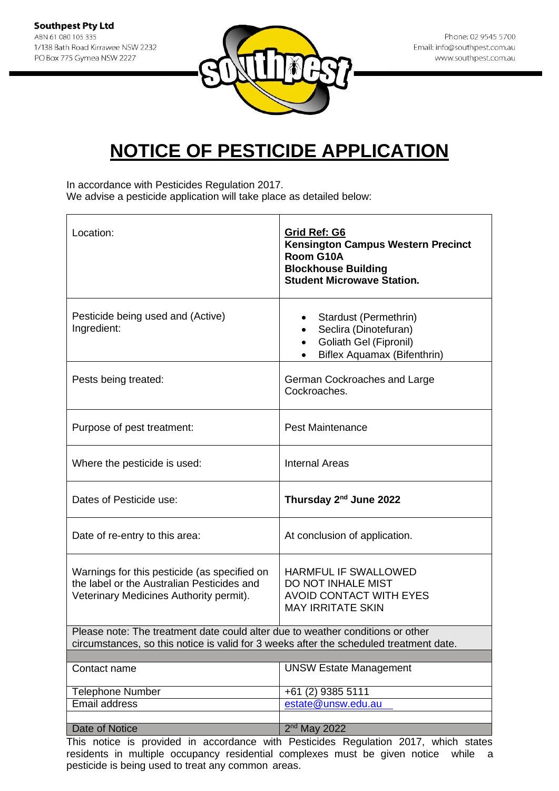

In accordance with Pesticides Regulation 2017. We advise a pesticide application will take place as detailed below:

| Location:                                                                                                                                                                | Grid Ref: G6<br><b>Kensington Campus Western Precinct</b><br>Room G10A<br><b>Blockhouse Building</b><br><b>Student Microwave Station.</b> |
|--------------------------------------------------------------------------------------------------------------------------------------------------------------------------|-------------------------------------------------------------------------------------------------------------------------------------------|
| Pesticide being used and (Active)<br>Ingredient:                                                                                                                         | Stardust (Permethrin)<br>Seclira (Dinotefuran)<br><b>Goliath Gel (Fipronil)</b><br>Biflex Aquamax (Bifenthrin)                            |
| Pests being treated:                                                                                                                                                     | German Cockroaches and Large<br>Cockroaches.                                                                                              |
| Purpose of pest treatment:                                                                                                                                               | <b>Pest Maintenance</b>                                                                                                                   |
| Where the pesticide is used:                                                                                                                                             | <b>Internal Areas</b>                                                                                                                     |
| Dates of Pesticide use:                                                                                                                                                  | Thursday 2 <sup>nd</sup> June 2022                                                                                                        |
| Date of re-entry to this area:                                                                                                                                           | At conclusion of application.                                                                                                             |
| Warnings for this pesticide (as specified on<br>the label or the Australian Pesticides and<br>Veterinary Medicines Authority permit).                                    | <b>HARMFUL IF SWALLOWED</b><br>DO NOT INHALE MIST<br><b>AVOID CONTACT WITH EYES</b><br><b>MAY IRRITATE SKIN</b>                           |
| Please note: The treatment date could alter due to weather conditions or other<br>circumstances, so this notice is valid for 3 weeks after the scheduled treatment date. |                                                                                                                                           |
| Contact name                                                                                                                                                             | <b>UNSW Estate Management</b>                                                                                                             |
| <b>Telephone Number</b>                                                                                                                                                  | +61 (2) 9385 5111                                                                                                                         |
| Email address                                                                                                                                                            | estate@unsw.edu.au                                                                                                                        |
|                                                                                                                                                                          |                                                                                                                                           |
| Date of Notice                                                                                                                                                           | $2nd$ May 2022                                                                                                                            |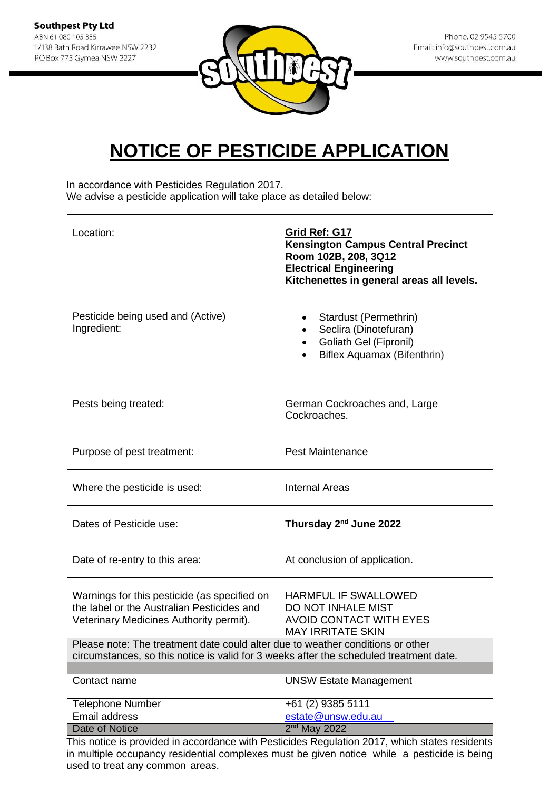

In accordance with Pesticides Regulation 2017. We advise a pesticide application will take place as detailed below:

| Location:                                                                                                                                                                | Grid Ref: G17<br><b>Kensington Campus Central Precinct</b><br>Room 102B, 208, 3Q12<br><b>Electrical Engineering</b><br>Kitchenettes in general areas all levels. |
|--------------------------------------------------------------------------------------------------------------------------------------------------------------------------|------------------------------------------------------------------------------------------------------------------------------------------------------------------|
| Pesticide being used and (Active)<br>Ingredient:                                                                                                                         | Stardust (Permethrin)<br>٠<br>Seclira (Dinotefuran)<br>Goliath Gel (Fipronil)<br>$\bullet$<br>Biflex Aquamax (Bifenthrin)                                        |
| Pests being treated:                                                                                                                                                     | German Cockroaches and, Large<br>Cockroaches.                                                                                                                    |
| Purpose of pest treatment:                                                                                                                                               | <b>Pest Maintenance</b>                                                                                                                                          |
| Where the pesticide is used:                                                                                                                                             | <b>Internal Areas</b>                                                                                                                                            |
| Dates of Pesticide use:                                                                                                                                                  | Thursday 2 <sup>nd</sup> June 2022                                                                                                                               |
| Date of re-entry to this area:                                                                                                                                           | At conclusion of application.                                                                                                                                    |
| Warnings for this pesticide (as specified on<br>the label or the Australian Pesticides and<br>Veterinary Medicines Authority permit).                                    | <b>HARMFUL IF SWALLOWED</b><br>DO NOT INHALE MIST<br><b>AVOID CONTACT WITH EYES</b><br><b>MAY IRRITATE SKIN</b>                                                  |
| Please note: The treatment date could alter due to weather conditions or other<br>circumstances, so this notice is valid for 3 weeks after the scheduled treatment date. |                                                                                                                                                                  |
|                                                                                                                                                                          |                                                                                                                                                                  |
| Contact name                                                                                                                                                             | <b>UNSW Estate Management</b>                                                                                                                                    |
| Telephone Number                                                                                                                                                         | +61 (2) 9385 5111                                                                                                                                                |
| Email address                                                                                                                                                            | estate@unsw.edu.au                                                                                                                                               |
| Date of Notice                                                                                                                                                           | $2nd$ May 2022                                                                                                                                                   |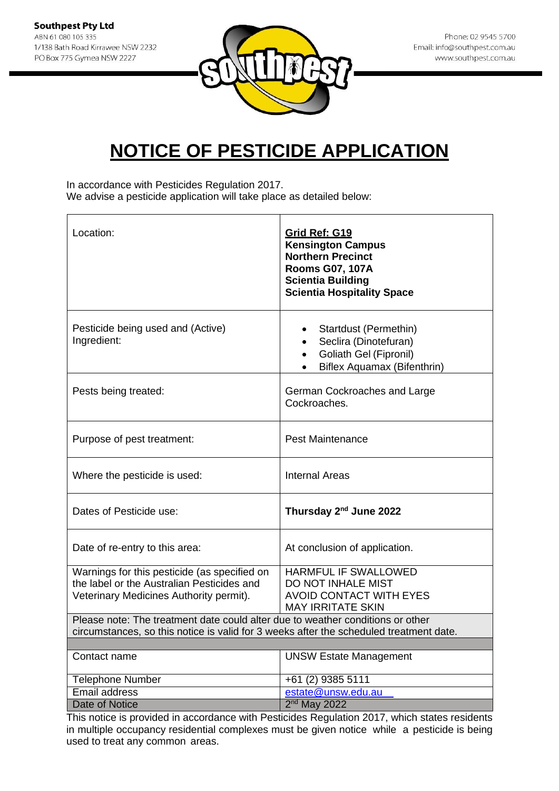

In accordance with Pesticides Regulation 2017. We advise a pesticide application will take place as detailed below:

| Location:                                                                                                                             | Grid Ref: G19<br><b>Kensington Campus</b><br><b>Northern Precinct</b><br><b>Rooms G07, 107A</b><br><b>Scientia Building</b><br><b>Scientia Hospitality Space</b> |
|---------------------------------------------------------------------------------------------------------------------------------------|------------------------------------------------------------------------------------------------------------------------------------------------------------------|
| Pesticide being used and (Active)<br>Ingredient:                                                                                      | Startdust (Permethin)<br>Seclira (Dinotefuran)<br>Goliath Gel (Fipronil)<br>$\bullet$<br>Biflex Aquamax (Bifenthrin)                                             |
| Pests being treated:                                                                                                                  | German Cockroaches and Large<br>Cockroaches.                                                                                                                     |
| Purpose of pest treatment:                                                                                                            | <b>Pest Maintenance</b>                                                                                                                                          |
| Where the pesticide is used:                                                                                                          | <b>Internal Areas</b>                                                                                                                                            |
| Dates of Pesticide use:                                                                                                               | Thursday 2 <sup>nd</sup> June 2022                                                                                                                               |
| Date of re-entry to this area:                                                                                                        | At conclusion of application.                                                                                                                                    |
| Warnings for this pesticide (as specified on<br>the label or the Australian Pesticides and<br>Veterinary Medicines Authority permit). | HARMFUL IF SWALLOWED<br><b>DO NOT INHALE MIST</b><br><b>AVOID CONTACT WITH EYES</b><br><b>MAY IRRITATE SKIN</b>                                                  |
| Please note: The treatment date could alter due to weather conditions or other                                                        |                                                                                                                                                                  |
| circumstances, so this notice is valid for 3 weeks after the scheduled treatment date.                                                |                                                                                                                                                                  |
| Contact name                                                                                                                          | <b>UNSW Estate Management</b>                                                                                                                                    |
| <b>Telephone Number</b>                                                                                                               | +61 (2) 9385 5111                                                                                                                                                |
| <b>Email address</b>                                                                                                                  | estate@unsw.edu.au                                                                                                                                               |
| <b>Date of Notice</b>                                                                                                                 | 2 <sup>nd</sup> May 2022                                                                                                                                         |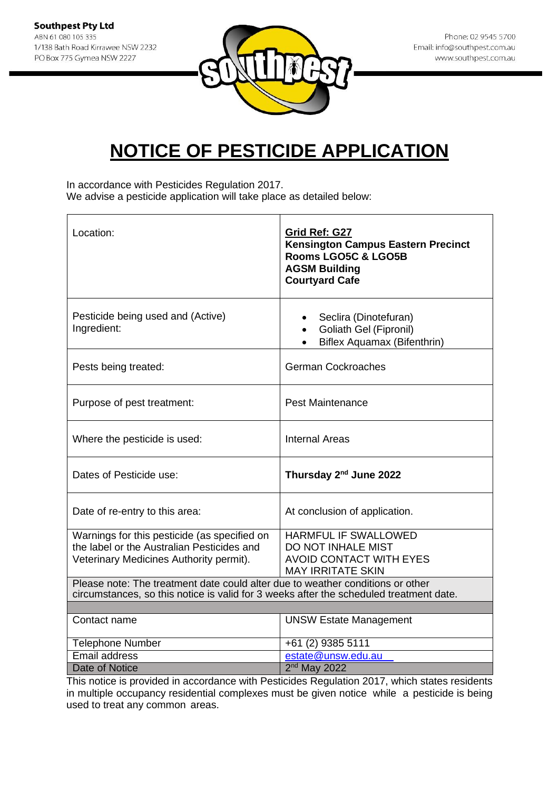

In accordance with Pesticides Regulation 2017. We advise a pesticide application will take place as detailed below:

| Location:                                                                                                                                                                | Grid Ref: G27<br><b>Kensington Campus Eastern Precinct</b><br>Rooms LGO5C & LGO5B<br><b>AGSM Building</b><br><b>Courtyard Cafe</b> |
|--------------------------------------------------------------------------------------------------------------------------------------------------------------------------|------------------------------------------------------------------------------------------------------------------------------------|
| Pesticide being used and (Active)<br>Ingredient:                                                                                                                         | Seclira (Dinotefuran)<br>$\bullet$<br>Goliath Gel (Fipronil)<br>$\bullet$<br>Biflex Aquamax (Bifenthrin)<br>$\bullet$              |
| Pests being treated:                                                                                                                                                     | <b>German Cockroaches</b>                                                                                                          |
| Purpose of pest treatment:                                                                                                                                               | <b>Pest Maintenance</b>                                                                                                            |
| Where the pesticide is used:                                                                                                                                             | <b>Internal Areas</b>                                                                                                              |
| Dates of Pesticide use:                                                                                                                                                  | Thursday 2 <sup>nd</sup> June 2022                                                                                                 |
| Date of re-entry to this area:                                                                                                                                           | At conclusion of application.                                                                                                      |
| Warnings for this pesticide (as specified on<br>the label or the Australian Pesticides and<br>Veterinary Medicines Authority permit).                                    | <b>HARMFUL IF SWALLOWED</b><br>DO NOT INHALE MIST<br><b>AVOID CONTACT WITH EYES</b><br><b>MAY IRRITATE SKIN</b>                    |
| Please note: The treatment date could alter due to weather conditions or other<br>circumstances, so this notice is valid for 3 weeks after the scheduled treatment date. |                                                                                                                                    |
| Contact name                                                                                                                                                             | <b>UNSW Estate Management</b>                                                                                                      |
| <b>Telephone Number</b>                                                                                                                                                  | +61 (2) 9385 5111                                                                                                                  |
| Email address                                                                                                                                                            | estate@unsw.edu.au                                                                                                                 |
| Date of Notice                                                                                                                                                           | $2nd$ May 2022                                                                                                                     |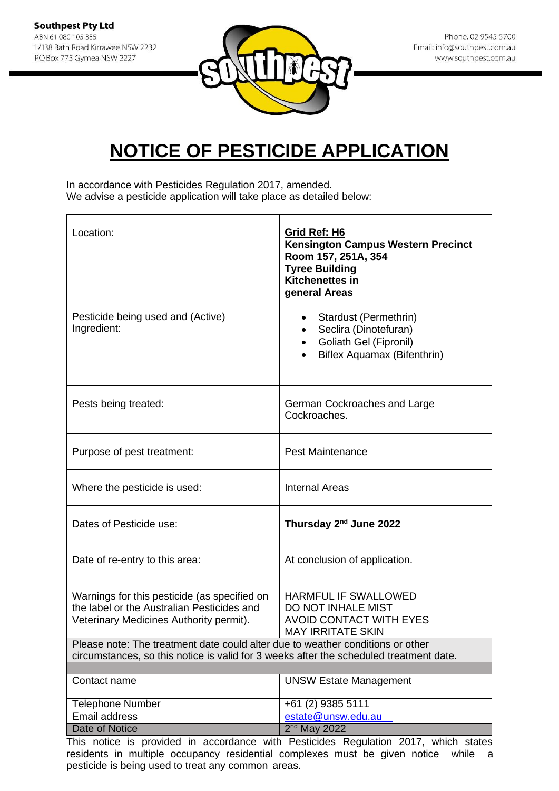

In accordance with Pesticides Regulation 2017, amended. We advise a pesticide application will take place as detailed below:

| Location:                                                                                                                                                                | Grid Ref: H6<br>Kensington Campus Western Precinct<br>Room 157, 251A, 354<br><b>Tyree Building</b><br><b>Kitchenettes in</b><br>general Areas |
|--------------------------------------------------------------------------------------------------------------------------------------------------------------------------|-----------------------------------------------------------------------------------------------------------------------------------------------|
| Pesticide being used and (Active)<br>Ingredient:                                                                                                                         | Stardust (Permethrin)<br>Seclira (Dinotefuran)<br><b>Goliath Gel (Fipronil)</b><br>Biflex Aquamax (Bifenthrin)                                |
| Pests being treated:                                                                                                                                                     | German Cockroaches and Large<br>Cockroaches.                                                                                                  |
| Purpose of pest treatment:                                                                                                                                               | <b>Pest Maintenance</b>                                                                                                                       |
| Where the pesticide is used:                                                                                                                                             | <b>Internal Areas</b>                                                                                                                         |
| Dates of Pesticide use:                                                                                                                                                  | Thursday 2 <sup>nd</sup> June 2022                                                                                                            |
| Date of re-entry to this area:                                                                                                                                           | At conclusion of application.                                                                                                                 |
| Warnings for this pesticide (as specified on<br>the label or the Australian Pesticides and<br>Veterinary Medicines Authority permit).                                    | <b>HARMFUL IF SWALLOWED</b><br>DO NOT INHALE MIST<br><b>AVOID CONTACT WITH EYES</b><br><b>MAY IRRITATE SKIN</b>                               |
| Please note: The treatment date could alter due to weather conditions or other<br>circumstances, so this notice is valid for 3 weeks after the scheduled treatment date. |                                                                                                                                               |
|                                                                                                                                                                          |                                                                                                                                               |
| Contact name                                                                                                                                                             | <b>UNSW Estate Management</b>                                                                                                                 |
| <b>Telephone Number</b>                                                                                                                                                  | +61 (2) 9385 5111                                                                                                                             |
| Email address                                                                                                                                                            | estate@unsw.edu.au                                                                                                                            |
| Date of Notice                                                                                                                                                           | $2nd$ May 2022                                                                                                                                |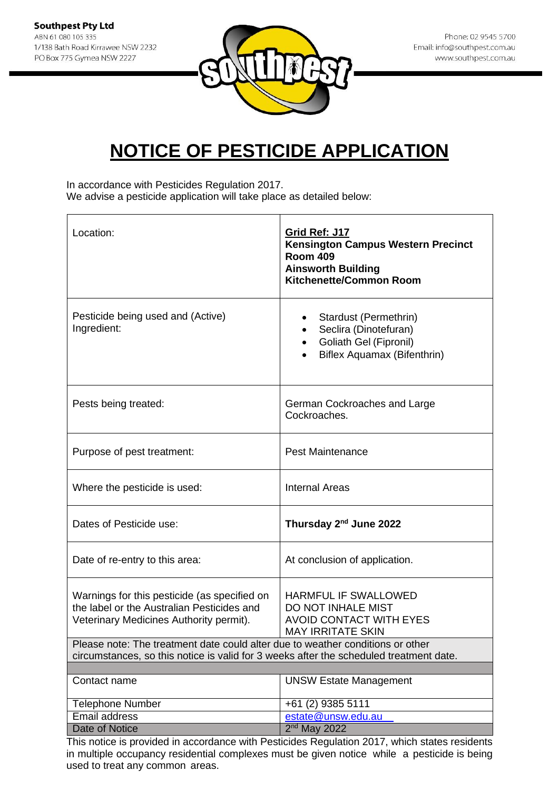

In accordance with Pesticides Regulation 2017. We advise a pesticide application will take place as detailed below:

| Location:                                                                                                                                                                | Grid Ref: J17<br><b>Kensington Campus Western Precinct</b><br><b>Room 409</b><br><b>Ainsworth Building</b><br><b>Kitchenette/Common Room</b> |
|--------------------------------------------------------------------------------------------------------------------------------------------------------------------------|----------------------------------------------------------------------------------------------------------------------------------------------|
| Pesticide being used and (Active)<br>Ingredient:                                                                                                                         | Stardust (Permethrin)<br>٠<br>Seclira (Dinotefuran)<br><b>Goliath Gel (Fipronil)</b><br>Biflex Aquamax (Bifenthrin)                          |
| Pests being treated:                                                                                                                                                     | German Cockroaches and Large<br>Cockroaches.                                                                                                 |
| Purpose of pest treatment:                                                                                                                                               | <b>Pest Maintenance</b>                                                                                                                      |
| Where the pesticide is used:                                                                                                                                             | <b>Internal Areas</b>                                                                                                                        |
| Dates of Pesticide use:                                                                                                                                                  | Thursday 2 <sup>nd</sup> June 2022                                                                                                           |
| Date of re-entry to this area:                                                                                                                                           | At conclusion of application.                                                                                                                |
| Warnings for this pesticide (as specified on<br>the label or the Australian Pesticides and<br>Veterinary Medicines Authority permit).                                    | <b>HARMFUL IF SWALLOWED</b><br>DO NOT INHALE MIST<br><b>AVOID CONTACT WITH EYES</b><br><b>MAY IRRITATE SKIN</b>                              |
| Please note: The treatment date could alter due to weather conditions or other<br>circumstances, so this notice is valid for 3 weeks after the scheduled treatment date. |                                                                                                                                              |
|                                                                                                                                                                          |                                                                                                                                              |
| Contact name                                                                                                                                                             | <b>UNSW Estate Management</b>                                                                                                                |
| <b>Telephone Number</b>                                                                                                                                                  | +61 (2) 9385 5111                                                                                                                            |
| Email address                                                                                                                                                            | estate@unsw.edu.au                                                                                                                           |
| Date of Notice                                                                                                                                                           | $2nd$ May 2022                                                                                                                               |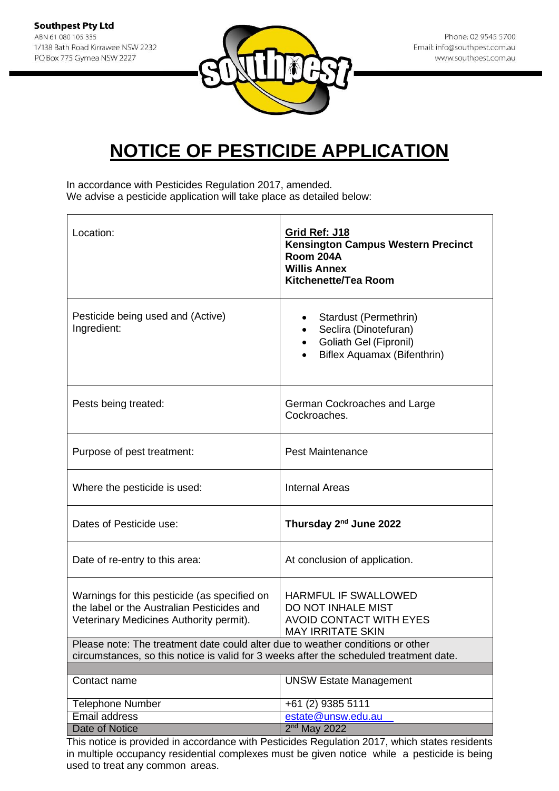

In accordance with Pesticides Regulation 2017, amended. We advise a pesticide application will take place as detailed below:

| Location:                                                                                                                                                                | Grid Ref: J18<br><b>Kensington Campus Western Precinct</b><br>Room 204A<br><b>Willis Annex</b><br>Kitchenette/Tea Room |
|--------------------------------------------------------------------------------------------------------------------------------------------------------------------------|------------------------------------------------------------------------------------------------------------------------|
| Pesticide being used and (Active)<br>Ingredient:                                                                                                                         | Stardust (Permethrin)<br>Seclira (Dinotefuran)<br>Goliath Gel (Fipronil)<br><b>Biflex Aquamax (Bifenthrin)</b>         |
| Pests being treated:                                                                                                                                                     | German Cockroaches and Large<br>Cockroaches.                                                                           |
| Purpose of pest treatment:                                                                                                                                               | <b>Pest Maintenance</b>                                                                                                |
| Where the pesticide is used:                                                                                                                                             | <b>Internal Areas</b>                                                                                                  |
| Dates of Pesticide use:                                                                                                                                                  | Thursday 2 <sup>nd</sup> June 2022                                                                                     |
| Date of re-entry to this area:                                                                                                                                           | At conclusion of application.                                                                                          |
| Warnings for this pesticide (as specified on<br>the label or the Australian Pesticides and<br>Veterinary Medicines Authority permit).                                    | <b>HARMFUL IF SWALLOWED</b><br>DO NOT INHALE MIST<br><b>AVOID CONTACT WITH EYES</b><br><b>MAY IRRITATE SKIN</b>        |
| Please note: The treatment date could alter due to weather conditions or other<br>circumstances, so this notice is valid for 3 weeks after the scheduled treatment date. |                                                                                                                        |
|                                                                                                                                                                          |                                                                                                                        |
| Contact name                                                                                                                                                             | <b>UNSW Estate Management</b>                                                                                          |
| <b>Telephone Number</b>                                                                                                                                                  | +61 (2) 9385 5111                                                                                                      |
| Email address                                                                                                                                                            | estate@unsw.edu.au                                                                                                     |
| Date of Notice                                                                                                                                                           | $2nd$ May 2022                                                                                                         |